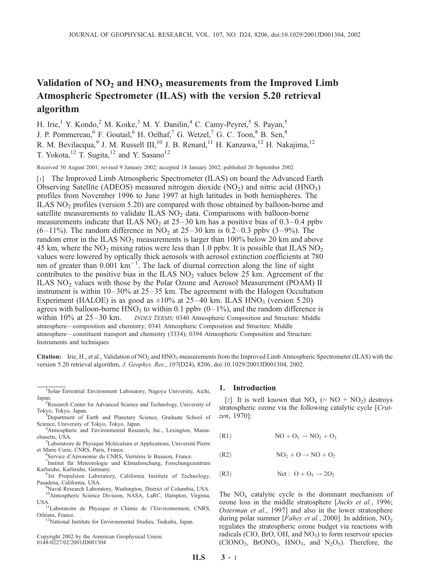# Validation of  $NO<sub>2</sub>$  and  $HNO<sub>3</sub>$  measurements from the Improved Limb Atmospheric Spectrometer (ILAS) with the version 5.20 retrieval algorithm

H. Irie,<sup>1</sup> Y. Kondo,<sup>2</sup> M. Koike,<sup>3</sup> M. Y. Danilin,<sup>4</sup> C. Camy-Peyret,<sup>5</sup> S. Payan,<sup>5</sup> J. P. Pommereau, <sup>6</sup> F. Goutail, <sup>6</sup> H. Oelhaf, <sup>7</sup> G. Wetzel, <sup>7</sup> G. C. Toon, <sup>8</sup> B. Sen, <sup>8</sup> R. M. Bevilacqua,<sup>9</sup> J. M. Russell III,<sup>10</sup> J. B. Renard,<sup>11</sup> H. Kanzawa,<sup>12</sup> H. Nakajima,<sup>12</sup> T. Yokota,<sup>12</sup> T. Sugita,<sup>12</sup> and Y. Sasano<sup>12</sup>

Received 30 August 2001; revised 9 January 2002; accepted 18 January 2002; published 20 September 2002.

[1] The Improved Limb Atmospheric Spectrometer (ILAS) on board the Advanced Earth Observing Satellite (ADEOS) measured nitrogen dioxide  $(NO<sub>2</sub>)$  and nitric acid (HNO<sub>3</sub>) profiles from November 1996 to June 1997 at high latitudes in both hemispheres. The ILAS  $NO<sub>2</sub>$  profiles (version 5.20) are compared with those obtained by balloon-borne and satellite measurements to validate ILAS  $NO<sub>2</sub>$  data. Comparisons with balloon-borne measurements indicate that ILAS  $NO<sub>2</sub>$  at 25–30 km has a positive bias of 0.3–0.4 ppbv (6–11%). The random difference in NO<sub>2</sub> at 25–30 km is 0.2–0.3 ppbv (3–9%). The random error in the ILAS  $NO<sub>2</sub>$  measurements is larger than 100% below 20 km and above 45 km, where the  $NO_2$  mixing ratios were less than 1.0 ppbv. It is possible that ILAS  $NO_2$ values were lowered by optically thick aerosols with aerosol extinction coefficients at 780 nm of greater than  $0.001 \text{ km}^{-1}$ . The lack of diurnal correction along the line of sight contributes to the positive bias in the ILAS  $NO<sub>2</sub>$  values below 25 km. Agreement of the ILAS  $NO<sub>2</sub>$  values with those by the Polar Ozone and Aerosol Measurement (POAM) II instrument is within 10–30% at 25–35 km. The agreement with the Halogen Occultation Experiment (HALOE) is as good as  $\pm 10\%$  at 25–40 km. ILAS HNO<sub>3</sub> (version 5.20) agrees with balloon-borne  $HNO_3$  to within 0.1 ppbv (0–1%), and the random difference is within 10% at 25–30 km. *INDEX TERMS:* 0340 Atmospheric Composition and Structure: Middle INDEX TERMS: 0340 Atmospheric Composition and Structure: Middle atmosphere—composition and chemistry; 0341 Atmospheric Composition and Structure: Middle atmosphere—constituent transport and chemistry (3334); 0394 Atmospheric Composition and Structure: Instruments and techniques

**Citation:** Irie, H., et al., Validation of  $NO_2$  and  $HNO_3$  measurements from the Improved Limb Atmospheric Spectrometer (ILAS) with the version 5.20 retrieval algorithm, J. Geophys. Res., 107(D24), 8206, doi:10.1029/2001JD001304, 2002.

- <sup>3</sup>Department of Earth and Planetary Science, Graduate School of Science, University of Tokyo, Tokyo, Japan.
- Atmospheric and Environmental Research, Inc., Lexington, Massachusetts, USA.
- ${}^{5}$ Laboratoire de Physique Moléculaire et Applications, Université Pierre et Marie Curie, CNRS, Paris, France.
	- <sup>6</sup>Service d'Aéronomie du CNRS, Verrières le Buisson, France.
- $7$ Institut für Meteorologie und Klimaforschung, Forschungszentrum Karlsruhe, Karlsruhe, Germany. <sup>8</sup>
- <sup>8</sup>Jet Propulsion Laboratory, California Institute of Technology, Pasadena, California, USA. <sup>9</sup>
- Naval Research Laboratory, Washington, District of Columbia, USA. <sup>10</sup>Atmospheric Science Division, NASA, LaRC, Hampton, Virginia,
- USA. 11Laboratoire de Physique et Chimie de l'Environnement, CNRS, Orléans, France.
- <sup>12</sup>National Institute for Environmental Studies, Tsukuba, Japan.

Copyright 2002 by the American Geophysical Union. 0148-0227/02/2001JD001304

#### 1. Introduction

[2] It is well known that  $NO_x$  (=  $NO + NO_2$ ) destroys stratospheric ozone via the following catalytic cycle [Crutzen, 1970]:

 $\overline{NO} + O_3 \rightarrow \overline{NO}_2 + O_2$ 

 $NO_2 + O \rightarrow NO + O_2$ 

 $(N<sup>2</sup>)$  Net :  $O + O_3 \rightarrow 2O_2$ 

The  $NO<sub>x</sub>$  catalytic cycle is the dominant mechanism of ozone loss in the middle stratosphere [Jucks et al., 1996; Osterman et al., 1997] and also in the lower stratosphere during polar summer [Fahey et al., 2000]. In addition,  $NO<sub>2</sub>$ regulates the stratospheric ozone budget via reactions with radicals (ClO, BrO, OH, and  $NO<sub>3</sub>$ ) to form reservoir species  $(CIONO<sub>2</sub>, BroNO<sub>2</sub>, HNO<sub>3</sub>, and N<sub>2</sub>O<sub>5</sub>)$ . Therefore, the

<sup>1</sup> Solar-Terrestrial Environment Laboratory, Nagoya University, Aichi, Japan.

Research Center for Advanced Science and Technology, University of Tokyo, Tokyo, Japan. <sup>3</sup>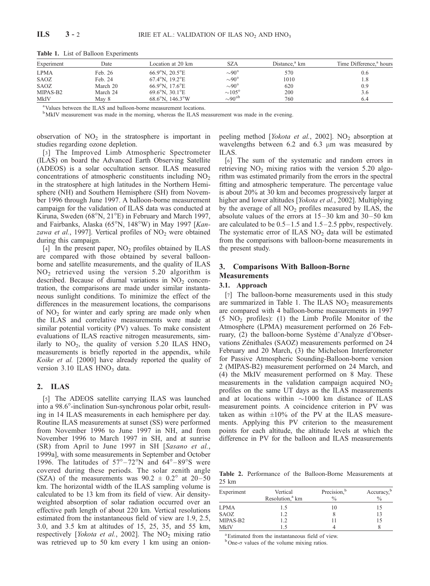| Experiment  | Date     | Location at 20 km                   | SZA                 | Distance. <sup>a</sup> km | Time Difference. <sup>a</sup> hours |
|-------------|----------|-------------------------------------|---------------------|---------------------------|-------------------------------------|
| <b>LPMA</b> | Feb. 26  | $66.9^{\circ}$ N, $20.5^{\circ}$ E  | $\sim 90^{\circ}$   | 570                       | 0.6                                 |
| SAOZ        | Feb. 24  | 67.4°N, 19.2°E                      | $\sim 90^\circ$     | 1010                      | 1.8                                 |
| SAOZ        | March 20 | $66.9^{\circ}$ N. 17.6 $^{\circ}$ E | $\sim 90^{\circ}$   | 620                       | 0.9                                 |
| MIPAS-B2    | March 24 | $69.6^{\circ}$ N. 30.1 $^{\circ}$ E | $\sim 105^\circ$    | 200                       | 3.6                                 |
| MkIV        | Mav 8    | $68.6^{\circ}$ N, 146.3°W           | $\sim 90^{\circ b}$ | 760                       | 6.4                                 |

Table 1. List of Balloon Experiments

a Values between the ILAS and balloon-borne measurement locations.

<sup>b</sup>MkIV measurement was made in the morning, whereas the ILAS measurement was made in the evening.

observation of  $NO<sub>2</sub>$  in the stratosphere is important in studies regarding ozone depletion.

[3] The Improved Limb Atmospheric Spectrometer (ILAS) on board the Advanced Earth Observing Satellite (ADEOS) is a solar occultation sensor. ILAS measured concentrations of atmospheric constituents including  $NO<sub>2</sub>$ in the stratosphere at high latitudes in the Northern Hemisphere (NH) and Southern Hemisphere (SH) from November 1996 through June 1997. A balloon-borne measurement campaign for the validation of ILAS data was conducted at Kiruna, Sweden ( $68^{\circ}$ N,  $21^{\circ}$ E) in February and March 1997, and Fairbanks, Alaska  $(65^{\circ}N, 148^{\circ}W)$  in May 1997 [Kanzawa et al., 1997]. Vertical profiles of  $NO<sub>2</sub>$  were obtained during this campaign.

[4] In the present paper,  $NO<sub>2</sub>$  profiles obtained by ILAS are compared with those obtained by several balloonborne and satellite measurements, and the quality of ILAS NO2 retrieved using the version 5.20 algorithm is described. Because of diurnal variations in  $NO<sub>2</sub>$  concentration, the comparisons are made under similar instantaneous sunlight conditions. To minimize the effect of the differences in the measurement locations, the comparisons of  $NO<sub>2</sub>$  for winter and early spring are made only when the ILAS and correlative measurements were made at similar potential vorticity (PV) values. To make consistent evaluations of ILAS reactive nitrogen measurements, similarly to  $NO_2$ , the quality of version 5.20 ILAS  $HNO_3$ measurements is briefly reported in the appendix, while Koike et al. [2000] have already reported the quality of version  $3.10$  ILAS HNO<sub>3</sub> data.

#### 2. ILAS

[5] The ADEOS satellite carrying ILAS was launched into a 98.6°-inclination Sun-synchronous polar orbit, resulting in 14 ILAS measurements in each hemisphere per day. Routine ILAS measurements at sunset (SS) were performed from November 1996 to June 1997 in NH, and from November 1996 to March 1997 in SH, and at sunrise (SR) from April to June 1997 in SH [Sasano et al., 1999a], with some measurements in September and October 1996. The latitudes of  $57^{\circ} - 72^{\circ}$ N and  $64^{\circ} - 89^{\circ}$ S were covered during these periods. The solar zenith angle (SZA) of the measurements was  $90.2 \pm 0.2^{\circ}$  at  $20-50$ km. The horizontal width of the ILAS sampling volume is calculated to be 13 km from its field of view. Air densityweighted absorption of solar radiation occurred over an effective path length of about 220 km. Vertical resolutions estimated from the instantaneous field of view are 1.9, 2.5, 3.0, and 3.5 km at altitudes of 15, 25, 35, and 55 km, respectively [Yokota et al., 2002]. The  $NO<sub>2</sub>$  mixing ratio was retrieved up to 50 km every 1 km using an onionpeeling method [*Yokota et al.*, 2002].  $NO<sub>2</sub>$  absorption at wavelengths between 6.2 and 6.3  $\mu$ m was measured by ILAS.

[6] The sum of the systematic and random errors in retrieving  $NO<sub>2</sub>$  mixing ratios with the version 5.20 algorithm was estimated primarily from the errors in the spectral fitting and atmospheric temperature. The percentage value is about 20% at 30 km and becomes progressively larger at higher and lower altitudes [*Yokota et al.*, 2002]. Multiplying by the average of all  $NO<sub>2</sub>$  profiles measured by ILAS, the absolute values of the errors at  $15-30$  km and  $30-50$  km are calculated to be  $0.5-1.5$  and  $1.5-2.5$  ppby, respectively. The systematic error of ILAS  $NO<sub>2</sub>$  data will be estimated from the comparisons with balloon-borne measurements in the present study.

# 3. Comparisons With Balloon-Borne **Measurements**

# 3.1. Approach

[7] The balloon-borne measurements used in this study are summarized in Table 1. The ILAS  $NO<sub>2</sub>$  measurements are compared with 4 balloon-borne measurements in 1997  $(5 \text{ NO}_2 \text{ profiles})$ : (1) the Limb Profile Monitor of the Atmosphere (LPMA) measurement performed on 26 February, (2) the balloon-borne Système d'Analyze d'Observations Zénithales (SAOZ) measurements performed on 24 February and 20 March, (3) the Michelson Interferometer for Passive Atmospheric Sounding-Balloon-borne version 2 (MIPAS-B2) measurement performed on 24 March, and (4) the MkIV measurement performed on 8 May. These measurements in the validation campaign acquired  $NO<sub>2</sub>$ profiles on the same UT days as the ILAS measurements and at locations within  $\sim$ 1000 km distance of ILAS measurement points. A coincidence criterion in PV was taken as within  $\pm 10\%$  of the PV at the ILAS measurements. Applying this PV criterion to the measurement points for each altitude, the altitude levels at which the difference in PV for the balloon and ILAS measurements

Table 2. Performance of the Balloon-Borne Measurements at 25 km

| Experiment | Vertical<br>Resolution, <sup>a</sup> km | Precision, <sup>b</sup><br>$\frac{0}{0}$ | Accuracy, <sup>b</sup><br>$\frac{0}{0}$ |
|------------|-----------------------------------------|------------------------------------------|-----------------------------------------|
| LPMA       | 1.5                                     | 10                                       |                                         |
| SAOZ       | 1.2                                     |                                          | 13                                      |
| MIPAS-B2   | 1.2                                     |                                          |                                         |
| MkIV       | 1.5                                     |                                          |                                         |

a Estimated from the instantaneous field of view.

 $b$ One- $\sigma$  values of the volume mixing ratios.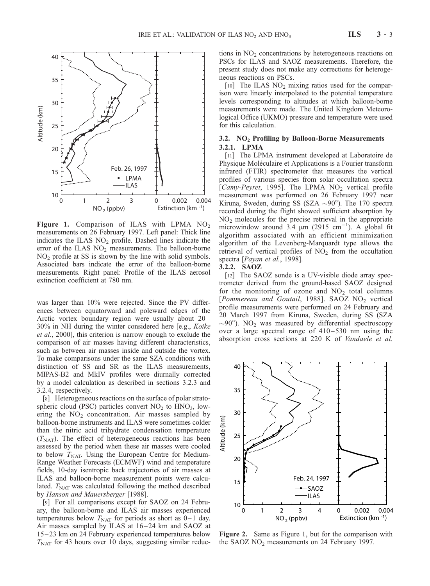

Figure 1. Comparison of ILAS with LPMA  $NO<sub>2</sub>$ measurements on 26 February 1997. Left panel: Thick line indicates the ILAS  $NO<sub>2</sub>$  profile. Dashed lines indicate the error of the ILAS  $NO<sub>2</sub>$  measurements. The balloon-borne NO2 profile at SS is shown by the line with solid symbols. Associated bars indicate the error of the balloon-borne measurements. Right panel: Profile of the ILAS aerosol extinction coefficient at 780 nm.

was larger than 10% were rejected. Since the PV differences between equatorward and poleward edges of the Arctic vortex boundary region were usually about 20– 30% in NH during the winter considered here [e.g., Koike et al., 2000], this criterion is narrow enough to exclude the comparison of air masses having different characteristics, such as between air masses inside and outside the vortex. To make comparisons under the same SZA conditions with distinction of SS and SR as the ILAS measurements, MIPAS-B2 and MkIV profiles were diurnally corrected by a model calculation as described in sections 3.2.3 and 3.2.4, respectively.

[8] Heterogeneous reactions on the surface of polar stratospheric cloud (PSC) particles convert  $NO<sub>2</sub>$  to  $HNO<sub>3</sub>$ , lowering the  $NO<sub>2</sub>$  concentration. Air masses sampled by balloon-borne instruments and ILAS were sometimes colder than the nitric acid trihydrate condensation temperature  $(T<sub>NAT</sub>)$ . The effect of heterogeneous reactions has been assessed by the period when these air masses were cooled to below  $T<sub>NAT</sub>$ . Using the European Centre for Medium-Range Weather Forecasts (ECMWF) wind and temperature fields, 10-day isentropic back trajectories of air masses at ILAS and balloon-borne measurement points were calculated.  $T<sub>NAT</sub>$  was calculated following the method described by Hanson and Mauersberger [1988].

[9] For all comparisons except for SAOZ on 24 February, the balloon-borne and ILAS air masses experienced temperatures below  $T_{\text{NAT}}$  for periods as short as 0–1 day. Air masses sampled by ILAS at 16–24 km and SAOZ at 15– 23 km on 24 February experienced temperatures below  $T<sub>NAT</sub>$  for 43 hours over 10 days, suggesting similar reductions in  $NO<sub>2</sub>$  concentrations by heterogeneous reactions on PSCs for ILAS and SAOZ measurements. Therefore, the present study does not make any corrections for heterogeneous reactions on PSCs.

[10] The ILAS  $NO<sub>2</sub>$  mixing ratios used for the comparison were linearly interpolated to the potential temperature levels corresponding to altitudes at which balloon-borne measurements were made. The United Kingdom Meteorological Office (UKMO) pressure and temperature were used for this calculation.

# 3.2.  $NO<sub>2</sub>$  Profiling by Balloon-Borne Measurements 3.2.1. LPMA

[11] The LPMA instrument developed at Laboratoire de Physique Moléculaire et Applications is a Fourier transform infrared (FTIR) spectrometer that measures the vertical profiles of various species from solar occultation spectra [Camy-Peyret, 1995]. The LPMA NO<sub>2</sub> vertical profile measurement was performed on 26 February 1997 near Kiruna, Sweden, during SS (SZA  $\sim$ 90°). The 170 spectra recorded during the flight showed sufficient absorption by NO2 molecules for the precise retrieval in the appropriate microwindow around  $3.4 \mu m$  (2915 cm<sup>-1</sup>). A global fit algorithm associated with an efficient minimization algorithm of the Levenberg-Marquardt type allows the retrieval of vertical profiles of  $NO<sub>2</sub>$  from the occultation spectra [Payan et al., 1998].

#### 3.2.2. SAOZ

[12] The SAOZ sonde is a UV-visible diode array spectrometer derived from the ground-based SAOZ designed for the monitoring of ozone and  $NO<sub>2</sub>$  total columns [Pommereau and Goutail, 1988]. SAOZ  $NO<sub>2</sub>$  vertical profile measurements were performed on 24 February and 20 March 1997 from Kiruna, Sweden, during SS (SZA  $\sim$ 90°). NO<sub>2</sub> was measured by differential spectroscopy over a large spectral range of  $410-530$  nm using the absorption cross sections at 220 K of Vandaele et al.



Figure 2. Same as Figure 1, but for the comparison with the SAOZ  $NO<sub>2</sub>$  measurements on 24 February 1997.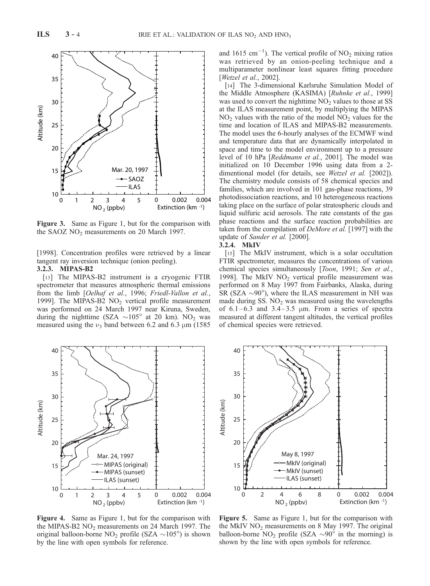

Figure 3. Same as Figure 1, but for the comparison with the SAOZ  $NO<sub>2</sub>$  measurements on 20 March 1997.

[1998]. Concentration profiles were retrieved by a linear tangent ray inversion technique (onion peeling). 3.2.3. MIPAS-B2

[13] The MIPAS-B2 instrument is a cryogenic FTIR spectrometer that measures atmospheric thermal emissions from the limb [Oelhaf et al., 1996; Friedl-Vallon et al., 1999]. The MIPAS-B2  $NO<sub>2</sub>$  vertical profile measurement was performed on 24 March 1997 near Kiruna, Sweden, during the nighttime (SZA  $\sim$ 105 $^{\circ}$  at 20 km). NO<sub>2</sub> was measured using the  $v_3$  band between 6.2 and 6.3  $\mu$ m (1585)



012345  $10\frac{L}{0}$ ILAS (sunset)  $NO<sub>2</sub>$  (ppbv) 0 0.002 0.004 Extinction (km -1)

Figure 4. Same as Figure 1, but for the comparison with the MIPAS-B2  $NO<sub>2</sub>$  measurements on 24 March 1997. The original balloon-borne NO<sub>2</sub> profile (SZA  $\sim$ 105°) is shown by the line with open symbols for reference.

and 1615 cm<sup>-1</sup>). The vertical profile of  $NO_2$  mixing ratios was retrieved by an onion-peeling technique and a multiparameter nonlinear least squares fitting procedure [*Wetzel et al., 2002*].

[14] The 3-dimensional Karlsruhe Simulation Model of the Middle Atmosphere (KASIMA) [Ruhnke et al., 1999] was used to convert the nighttime  $NO<sub>2</sub>$  values to those at SS at the ILAS measurement point, by multiplying the MIPAS  $NO<sub>2</sub>$  values with the ratio of the model  $NO<sub>2</sub>$  values for the time and location of ILAS and MIPAS-B2 measurements. The model uses the 6-hourly analyses of the ECMWF wind and temperature data that are dynamically interpolated in space and time to the model environment up to a pressure level of 10 hPa [Reddmann et al., 2001]. The model was initialized on 10 December 1996 using data from a 2 dimentional model (for details, see Wetzel et al. [2002]). The chemistry module consists of 58 chemical species and families, which are involved in 101 gas-phase reactions, 39 photodissociation reactions, and 10 heterogeneous reactions taking place on the surface of polar stratospheric clouds and liquid sulfuric acid aerosols. The rate constants of the gas phase reactions and the surface reaction probabilities are taken from the compilation of DeMore et al. [1997] with the update of Sander et al. [2000].

# 3.2.4. MkIV

[15] The MkIV instrument, which is a solar occultation FTIR spectrometer, measures the concentrations of various chemical species simultaneously [Toon, 1991; Sen et al., 1998]. The MkIV  $NO<sub>2</sub>$  vertical profile measurement was performed on 8 May 1997 from Fairbanks, Alaska, during SR (SZA  $\sim$ 90 $^{\circ}$ ), where the ILAS measurement in NH was made during SS.  $NO<sub>2</sub>$  was measured using the wavelengths of  $6.1 - 6.3$  and  $3.4 - 3.5$  µm. From a series of spectra measured at different tangent altitudes, the vertical profiles of chemical species were retrieved.



Figure 5. Same as Figure 1, but for the comparison with the MkIV  $NO<sub>2</sub>$  measurements on 8 May 1997. The original balloon-borne NO<sub>2</sub> profile (SZA  $\sim$ 90<sup> $\dot{\circ}$ </sup> in the morning) is shown by the line with open symbols for reference.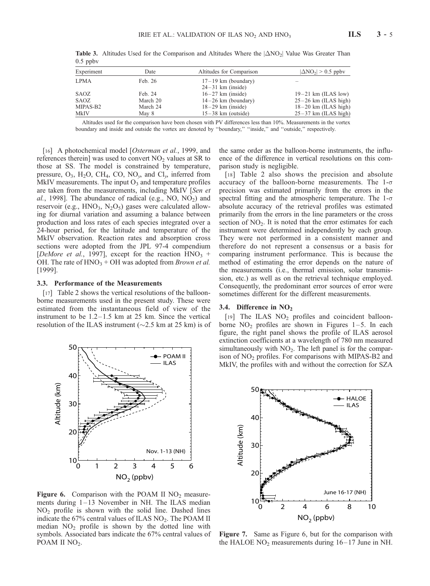| Experiment  | Date     | Altitudes for Comparison | $ \Delta NO_2  > 0.5$ ppby |
|-------------|----------|--------------------------|----------------------------|
| <b>LPMA</b> | Feb. 26  | $17-19$ km (boundary)    |                            |
|             |          | $24-31$ km (inside)      |                            |
| SAOZ        | Feb. 24  | $16-27$ km (inside)      | $19-21$ km (ILAS low)      |
| SAOZ        | March 20 | $14-26$ km (boundary)    | $25-26$ km (ILAS high)     |
| MIPAS-B2    | March 24 | $18-29$ km (inside)      | $18-20$ km (ILAS high)     |
| MkIV        | May 8    | $15-38$ km (outside)     | $25-37$ km (ILAS high)     |
|             |          |                          |                            |

**Table 3.** Altitudes Used for the Comparison and Altitudes Where the  $|\Delta NO_2|$  Value Was Greater Than  $0.5$  ppbv

Altitudes used for the comparison have been chosen with PV differences less than 10%. Measurements in the vortex boundary and inside and outside the vortex are denoted by ''boundary,'' ''inside,'' and ''outside,'' respectively.

[16] A photochemical model [Osterman et al., 1999, and references therein] was used to convert  $NO<sub>2</sub>$  values at SR to those at SS. The model is constrained by temperature, pressure,  $O_3$ , H<sub>2</sub>O, CH<sub>4</sub>, CO, NO<sub>1</sub>, and Cl<sub>1</sub>, inferred from MkIV measurements. The input  $O_3$  and temperature profiles are taken from the measurements, including MkIV [Sen et al., 1998]. The abundance of radical (e.g., NO,  $NO<sub>2</sub>$ ) and reservoir (e.g.,  $HNO<sub>3</sub>, N<sub>2</sub>O<sub>5</sub>$ ) gases were calculated allowing for diurnal variation and assuming a balance between production and loss rates of each species integrated over a 24-hour period, for the latitude and temperature of the MkIV observation. Reaction rates and absorption cross sections were adopted from the JPL 97-4 compendium [DeMore et al., 1997], except for the reaction  $HNO<sub>3</sub>$  + OH. The rate of  $HNO<sub>3</sub> + OH$  was adopted from *Brown et al.* [1999].

#### 3.3. Performance of the Measurements

[17] Table 2 shows the vertical resolutions of the balloonborne measurements used in the present study. These were estimated from the instantaneous field of view of the instrument to be  $1.2-1.5$  km at  $25$  km. Since the vertical resolution of the ILAS instrument ( $\sim$ 2.5 km at 25 km) is of



**Figure 6.** Comparison with the POAM II NO<sub>2</sub> measurements during 1-13 November in NH. The ILAS median NO2 profile is shown with the solid line. Dashed lines indicate the 67% central values of ILAS NO<sub>2</sub>. The POAM II median  $NO<sub>2</sub>$  profile is shown by the dotted line with symbols. Associated bars indicate the 67% central values of POAM II NO<sub>2</sub>.

the same order as the balloon-borne instruments, the influence of the difference in vertical resolutions on this comparison study is negligible.

[18] Table 2 also shows the precision and absolute accuracy of the balloon-borne measurements. The  $1-\sigma$ precision was estimated primarily from the errors in the spectral fitting and the atmospheric temperature. The  $1-\sigma$ absolute accuracy of the retrieval profiles was estimated primarily from the errors in the line parameters or the cross section of  $NO<sub>2</sub>$ . It is noted that the error estimates for each instrument were determined independently by each group. They were not performed in a consistent manner and therefore do not represent a consensus or a basis for comparing instrument performance. This is because the method of estimating the error depends on the nature of the measurements (i.e., thermal emission, solar transmission, etc.) as well as on the retrieval technique employed. Consequently, the predominant error sources of error were sometimes different for the different measurements.

## 3.4. Difference in NO2

[19] The ILAS NO<sub>2</sub> profiles and coincident balloonborne  $NO<sub>2</sub>$  profiles are shown in Figures 1-5. In each figure, the right panel shows the profile of ILAS aerosol extinction coefficients at a wavelength of 780 nm measured simultaneously with  $NO<sub>2</sub>$ . The left panel is for the comparison of  $NO<sub>2</sub>$  profiles. For comparisons with MIPAS-B2 and MkIV, the profiles with and without the correction for SZA



Figure 7. Same as Figure 6, but for the comparison with the HALOE  $NO<sub>2</sub>$  measurements during  $16-17$  June in NH.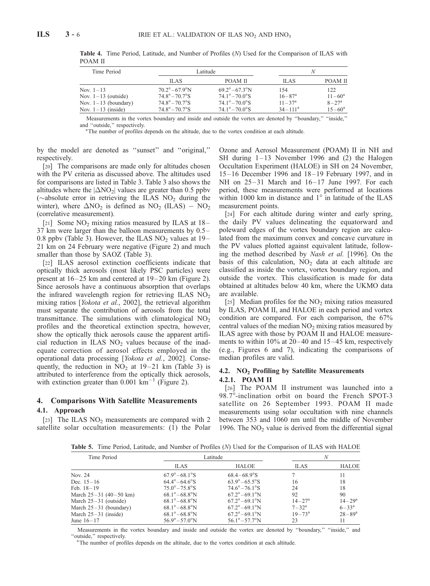| Time Period                                                                              |                                                                                                                                      | Latitude -                                                                                                                               | N                                                           |                                                             |  |
|------------------------------------------------------------------------------------------|--------------------------------------------------------------------------------------------------------------------------------------|------------------------------------------------------------------------------------------------------------------------------------------|-------------------------------------------------------------|-------------------------------------------------------------|--|
|                                                                                          | <b>ILAS</b>                                                                                                                          | POAM II                                                                                                                                  | <b>ILAS</b>                                                 | POAM II                                                     |  |
| Nov. $1 - 13$<br>Nov. $1-13$ (outside)<br>Nov. $1-13$ (boundary)<br>Nov. $1-13$ (inside) | $70.2^{\circ} - 67.9^{\circ}$ N<br>$74.8^{\circ} - 70.7^{\circ}$ S<br>$74.8^{\circ} - 70.7^{\circ}$ S<br>$74.8^\circ - 70.7^\circ$ S | $69.2^{\circ} - 67.3^{\circ}$ N<br>$74.1^{\circ} - 70.0^{\circ}$ S<br>$74.1^{\circ} - 70.0^{\circ}$ S<br>$74.1^{\circ} - 70.0^{\circ}$ S | 154<br>$16 - 87$ <sup>a</sup><br>$11 - 37a$<br>$34 - 111^a$ | 122<br>$11 - 60^a$<br>$8 - 27^{\rm a}$<br>$15 - 60^{\circ}$ |  |

Table 4. Time Period, Latitude, and Number of Profiles (N) Used for the Comparison of ILAS with POAM II

Measurements in the vortex boundary and inside and outside the vortex are denoted by ''boundary,'' ''inside,'' and "outside," respectively.

<sup>a</sup>The number of profiles depends on the altitude, due to the vortex condition at each altitude.

by the model are denoted as ''sunset'' and ''original,'' respectively.

[20] The comparisons are made only for altitudes chosen with the PV criteria as discussed above. The altitudes used for comparisons are listed in Table 3. Table 3 also shows the altitudes where the  $|\Delta NO_2|$  values are greater than 0.5 ppbv ( $\sim$ absolute error in retrieving the ILAS NO<sub>2</sub> during the winter), where  $\Delta NO_2$  is defined as  $NO_2$  (ILAS) –  $NO_2$ (correlative measurement).

[21] Some  $NO<sub>2</sub>$  mixing ratios measured by ILAS at 18– 37 km were larger than the balloon measurements by 0.5– 0.8 ppbv (Table 3). However, the ILAS  $NO<sub>2</sub>$  values at 19– 21 km on 24 February were negative (Figure 2) and much smaller than those by SAOZ (Table 3).

[22] ILAS aerosol extinction coefficients indicate that optically thick aerosols (most likely PSC particles) were present at  $16-25$  km and centered at  $19-20$  km (Figure 2). Since aerosols have a continuous absorption that overlaps the infrared wavelength region for retrieving ILAS  $NO<sub>2</sub>$ mixing ratios [*Yokota et al.*, 2002], the retrieval algorithm must separate the contribution of aerosols from the total transmittance. The simulations with climatological  $NO<sub>2</sub>$ profiles and the theoretical extinction spectra, however, show the optically thick aerosols cause the apparent artificial reduction in ILAS  $NO<sub>2</sub>$  values because of the inadequate correction of aerosol effects employed in the operational data processing [Yokota et al., 2002]. Consequently, the reduction in  $NO<sub>2</sub>$  at 19–21 km (Table 3) is attributed to interference from the optically thick aerosols, with extinction greater than  $0.001 \text{ km}^{-1}$  (Figure 2).

#### 4. Comparisons With Satellite Measurements

#### 4.1. Approach

[23] The ILAS  $NO<sub>2</sub>$  measurements are compared with 2 satellite solar occultation measurements: (1) the Polar Ozone and Aerosol Measurement (POAM) II in NH and SH during  $1-13$  November 1996 and (2) the Halogen Occultation Experiment (HALOE) in SH on 24 November, 15– 16 December 1996 and 18 –19 February 1997, and in NH on  $25-31$  March and  $16-17$  June 1997. For each period, these measurements were performed at locations within 1000 km in distance and  $1^\circ$  in latitude of the ILAS measurement points.

[24] For each altitude during winter and early spring, the daily PV values delineating the equatorward and poleward edges of the vortex boundary region are calculated from the maximum convex and concave curvature in the PV values plotted against equivalent latitude, following the method described by Nash et al. [1996]. On the basis of this calculation,  $NO<sub>2</sub>$  data at each altitude are classified as inside the vortex, vortex boundary region, and outside the vortex. This classification is made for data obtained at altitudes below 40 km, where the UKMO data are available.

[25] Median profiles for the  $NO<sub>2</sub>$  mixing ratios measured by ILAS, POAM II, and HALOE in each period and vortex condition are compared. For each comparison, the 67% central values of the median  $NO<sub>2</sub>$  mixing ratios measured by ILAS agree with those by POAM II and HALOE measurements to within  $10\%$  at 20–40 and 15–45 km, respectively (e.g., Figures 6 and 7), indicating the comparisons of median profiles are valid.

## 4.2.  $NO<sub>2</sub>$  Profiling by Satellite Measurements 4.2.1. POAM II

[26] The POAM II instrument was launched into a 98.7°-inclination orbit on board the French SPOT-3 satellite on 26 September 1993. POAM II made measurements using solar occultation with nine channels between 353 and 1060 nm until the middle of November 1996. The  $NO<sub>2</sub>$  value is derived from the differential signal

Table 5. Time Period, Latitude, and Number of Profiles (N) Used for the Comparison of ILAS with HALOE

| Time Period              |                                 | Latitude                        | N                 |                   |
|--------------------------|---------------------------------|---------------------------------|-------------------|-------------------|
|                          | <b>ILAS</b>                     | HALOE                           | <b>ILAS</b>       | <b>HALOE</b>      |
| Nov. 24                  | $67.9^{\circ} - 68.1^{\circ}$ S | $68.4 - 68.9$ °S                |                   | 11                |
| Dec. $15-16$             | $64.4^{\circ} - 64.6^{\circ}$ S | $63.9^{\circ} - 65.5^{\circ}$ S | 16                | 18                |
| Feb. $18-19$             | $75.0^{\circ} - 75.8^{\circ}$ S | $74.6^{\circ} - 76.1^{\circ}$ S | 24                | 18                |
| March $25-31$ (40-50 km) | $68.1^{\circ} - 68.8^{\circ}$ N | $67.2^{\circ} - 69.1^{\circ}$ N | 92                | 90                |
| March $25-31$ (outside)  | $68.1^{\circ} - 68.8^{\circ}$ N | $67.2^{\circ} - 69.1^{\circ}$ N | $14 - 27^{\rm a}$ | $14 - 29^{\rm a}$ |
| March $25-31$ (boundary) | $68.1^{\circ} - 68.8^{\circ}$ N | $67.2^{\circ} - 69.1^{\circ}$ N | $7 - 32^{\rm a}$  | $6 - 33^a$        |
| March $25-31$ (inside)   | $68.1^{\circ} - 68.8^{\circ}$ N | $67.2^{\circ} - 69.1^{\circ}$ N | $19 - 73^{\rm a}$ | $28 - 89^{\rm a}$ |
| June $16-17$             | $56.9^{\circ} - 57.0^{\circ}$ N | $56.1^{\circ} - 57.7^{\circ}$ N | 23                | 11                |

Measurements in the vortex boundary and inside and outside the vortex are denoted by ''boundary,'' ''inside,'' and "outside," respectively.

<sup>a</sup>The number of profiles depends on the altitude, due to the vortex condition at each altitude.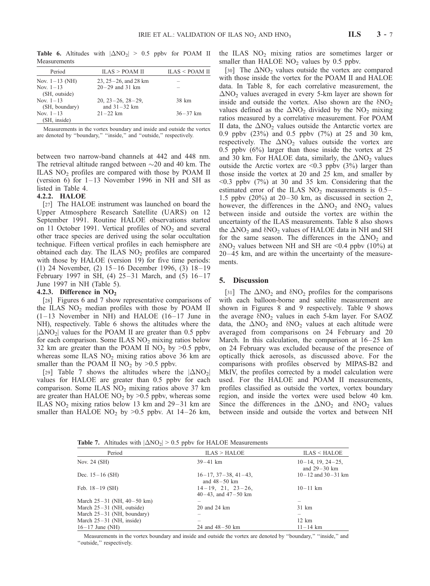**Table 6.** Altitudes with  $|\Delta NO_2| > 0.5$  ppby for POAM II Measurements

| Period                          | ILAS > POAM II                            | ILAS < POAM II |
|---------------------------------|-------------------------------------------|----------------|
| Nov. $1-13$ (NH)                | $23, 25 - 26,$ and $28 \text{ km}$        |                |
| Nov. $1 - 13$<br>(SH, outside)  | $20 - 29$ and 31 km                       |                |
| Nov. $1 - 13$<br>(SH, boundary) | $20, 23 - 26, 28 - 29,$<br>and $31-32$ km | 38 km          |
| Nov. $1 - 13$<br>(SH, inside)   | $21 - 22$ km                              | $36 - 37$ km   |

Measurements in the vortex boundary and inside and outside the vortex are denoted by ''boundary,'' ''inside,'' and ''outside,'' respectively.

between two narrow-band channels at 442 and 448 nm. The retrieval altitude ranged between  $\sim$ 20 and 40 km. The ILAS NO2 profiles are compared with those by POAM II (version 6) for  $1-13$  November 1996 in NH and SH as listed in Table 4.

#### 4.2.2. HALOE

[27] The HALOE instrument was launched on board the Upper Atmosphere Research Satellite (UARS) on 12 September 1991. Routine HALOE observations started on 11 October 1991. Vertical profiles of  $NO<sub>2</sub>$  and several other trace species are derived using the solar occultation technique. Fifteen vertical profiles in each hemisphere are obtained each day. The ILAS  $NO<sub>2</sub>$  profiles are compared with those by HALOE (version 19) for five time periods: (1) 24 November, (2) 15– 16 December 1996, (3) 18– 19 February 1997 in SH,  $(4)$  25-31 March, and  $(5)$  16-17 June 1997 in NH (Table 5).

#### 4.2.3. Difference in  $NO<sub>2</sub>$

[28] Figures 6 and 7 show representative comparisons of the ILAS  $NO<sub>2</sub>$  median profiles with those by POAM II  $(1-13$  November in NH) and HALOE  $(16-17)$  June in NH), respectively. Table 6 shows the altitudes where the  $|\Delta NO_2|$  values for the POAM II are greater than 0.5 ppbv for each comparison. Some ILAS  $NO<sub>2</sub>$  mixing ratios below 32 km are greater than the POAM II  $NO<sub>2</sub>$  by  $>0.5$  ppbv, whereas some ILAS  $NO<sub>2</sub>$  mixing ratios above 36 km are smaller than the POAM II  $NO<sub>2</sub>$  by  $>0.5$  ppbv.

[29] Table 7 shows the altitudes where the  $|\Delta NO_2|$ values for HALOE are greater than 0.5 ppbv for each comparison. Some ILAS  $NO<sub>2</sub>$  mixing ratios above 37 km are greater than HALOE  $NO<sub>2</sub>$  by  $>0.5$  ppbv, whereas some ILAS NO<sub>2</sub> mixing ratios below 13 km and  $29-31$  km are smaller than HALOE  $NO<sub>2</sub>$  by >0.5 ppbv. At 14-26 km, the ILAS  $NO<sub>2</sub>$  mixing ratios are sometimes larger or smaller than HALOE  $NO<sub>2</sub>$  values by 0.5 ppbv.

[30] The  $\Delta NO_2$  values outside the vortex are compared with those inside the vortex for the POAM II and HALOE data. In Table 8, for each correlative measurement, the  $\Delta NO_2$  values averaged in every 5-km layer are shown for inside and outside the vortex. Also shown are the  $\delta NO_2$ values defined as the  $\Delta NO_2$  divided by the NO<sub>2</sub> mixing ratios measured by a correlative measurement. For POAM II data, the  $\Delta NO_2$  values outside the Antarctic vortex are 0.9 ppbv (23%) and 0.5 ppbv (7%) at 25 and 30 km, respectively. The  $\Delta NO_2$  values outside the vortex are 0.5 ppbv (6%) larger than those inside the vortex at 25 and 30 km. For HALOE data, similarly, the  $\Delta NO_2$  values outside the Arctic vortex are  $\leq 0.3$  ppbv (3%) larger than those inside the vortex at 20 and 25 km, and smaller by  $\leq 0.3$  ppby (7%) at 30 and 35 km. Considering that the estimated error of the ILAS  $NO<sub>2</sub>$  measurements is 0.5– 1.5 ppbv  $(20\%)$  at  $20-30$  km, as discussed in section 2, however, the differences in the  $\Delta NO_2$  and  $\delta NO_2$  values between inside and outside the vortex are within the uncertainty of the ILAS measurements. Table 8 also shows the  $\Delta NO_2$  and  $\delta NO_2$  values of HALOE data in NH and SH for the same season. The differences in the  $\Delta NO_2$  and  $\delta$ NO<sub>2</sub> values between NH and SH are <0.4 ppbv (10%) at 20– 45 km, and are within the uncertainty of the measurements.

#### 5. Discussion

[31] The  $\Delta NO_2$  and  $\delta NO_2$  profiles for the comparisons with each balloon-borne and satellite measurement are shown in Figures 8 and 9 respectively. Table 9 shows the average  $\delta NO_2$  values in each 5-km layer. For SAOZ data, the  $\Delta NO_2$  and  $\delta NO_2$  values at each altitude were averaged from comparisons on 24 February and 20 March. In this calculation, the comparison at  $16-25$  km on 24 February was excluded because of the presence of optically thick aerosols, as discussed above. For the comparisons with profiles observed by MIPAS-B2 and MkIV, the profiles corrected by a model calculation were used. For the HALOE and POAM II measurements, profiles classified as outside the vortex, vortex boundary region, and inside the vortex were used below 40 km. Since the differences in the  $\Delta NO_2$  and  $\delta NO_2$  values between inside and outside the vortex and between NH

**Table 7.** Altitudes with  $|\Delta NO_2| > 0.5$  ppbv for HALOE Measurements

| Period                         | ILAS > HALOE                                          | ILAS < HALOE                             |
|--------------------------------|-------------------------------------------------------|------------------------------------------|
| Nov. 24 (SH)                   | $39 - 41$ km                                          | $10-14$ , 19, 24 - 25,<br>and $29-30$ km |
| Dec. $15-16$ (SH)              | $16 - 17$ , $37 - 38$ , $41 - 43$ ,<br>and $48-50$ km | $10 - 12$ and $30 - 31$ km               |
| Feb. $18-19$ (SH)              | $14-19$ , 21, $23-26$ ,<br>$40-43$ , and $47-50$ km   | $10 - 11$ km                             |
| March $25-31$ (NH, $40-50$ km) |                                                       |                                          |
| March $25-31$ (NH, outside)    | 20 and 24 km                                          | $31 \text{ km}$                          |
| March $25-31$ (NH, boundary)   |                                                       |                                          |
| March $25-31$ (NH, inside)     | $\overline{\phantom{a}}$                              | $12 \text{ km}$                          |
| $16-17$ June (NH)              | 24 and $48 - 50$ km                                   | $11 - 14$ km                             |

Measurements in the vortex boundary and inside and outside the vortex are denoted by ''boundary,'' ''inside,'' and "outside," respectively.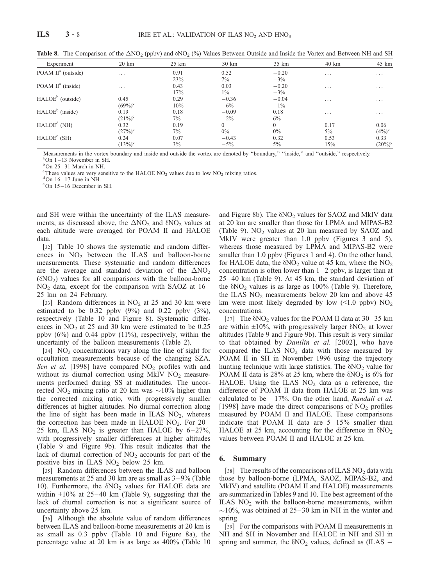| Experiment                     | $20 \text{ km}$         | $25 \text{ km}$ | 30 km    | 35 km    | 40 km    | 45 km                   |
|--------------------------------|-------------------------|-----------------|----------|----------|----------|-------------------------|
| POAM II <sup>a</sup> (outside) | $\cdot$ $\cdot$ $\cdot$ | 0.91            | 0.52     | $-0.20$  | $\cdots$ | $\cdots$                |
|                                |                         | 23%             | 7%       | $-3\%$   |          |                         |
| POAM $II^a$ (inside)           | $\cdots$                | 0.43            | 0.03     | $-0.20$  | $\cdots$ | $\cdot$ $\cdot$ $\cdot$ |
|                                |                         | 17%             | $1\%$    | $-3\%$   |          |                         |
| HALOE <sup>b</sup> (outside)   | 0.45                    | 0.29            | $-0.36$  | $-0.04$  | $\cdots$ | $\cdots$                |
|                                | $(69\%)^{\circ}$        | 10%             | $-6\%$   | $-1\%$   |          |                         |
| $HALOEb$ (inside)              | 0.19                    | 0.18            | $-0.09$  | 0.18     | $\cdots$ | $\cdot$ $\cdot$ $\cdot$ |
|                                | $(21\%)^c$              | $7\%$           | $-2\%$   | $6\%$    |          |                         |
| HALOE <sup>d</sup> (NH)        | 0.32                    | 0.19            | $\Omega$ | $\Omega$ | 0.17     | 0.06                    |
|                                | $(27\%)^c$              | $7\%$           | $0\%$    | $0\%$    | $5\%$    | $(4\%)^c$               |
| HALOE <sup>e</sup> (SH)        | 0.24                    | 0.07            | $-0.43$  | 0.32     | 0.53     | 0.33                    |
|                                | $(13%)^c$               | 3%              | $-5\%$   | $5\%$    | 15%      | $(20\%)^c$              |

Table 8. The Comparison of the  $\Delta NO_2$  (ppbv) and  $\delta NO_2$  (%) Values Between Outside and Inside the Vortex and Between NH and SH

Measurements in the vortex boundary and inside and outside the vortex are denoted by ''boundary,'' ''inside,'' and ''outside,'' respectively. a On 1 – 13 November in SH.

 $b$ On 25 – 31 March in NH.

<sup>c</sup> These values are very sensitive to the HALOE NO<sub>2</sub> values due to low NO<sub>2</sub> mixing ratios.

 $^{d}$  On 16 – 17 June in NH.

e On 15 – 16 December in SH.

and SH were within the uncertainty of the ILAS measurements, as discussed above, the  $\Delta NO_2$  and  $\delta NO_2$  values at each altitude were averaged for POAM II and HALOE data.

[32] Table 10 shows the systematic and random differences in  $NO<sub>2</sub>$  between the ILAS and balloon-borne measurements. These systematic and random differences are the average and standard deviation of the  $\Delta NO_2$  $(\delta NO_2)$  values for all comparisons with the balloon-borne  $NO<sub>2</sub>$  data, except for the comparison with SAOZ at 16– 25 km on 24 February.

[33] Random differences in  $NO<sub>2</sub>$  at 25 and 30 km were estimated to be  $0.32$  ppbv  $(9\%)$  and  $0.22$  ppbv  $(3\%)$ , respectively (Table 10 and Figure 8). Systematic differences in  $NO<sub>2</sub>$  at 25 and 30 km were estimated to be 0.25 ppbv (6%) and 0.44 ppbv (11%), respectively, within the uncertainty of the balloon measurements (Table 2).

[34]  $NO<sub>2</sub> concentrations vary along the line of sight for$ occultation measurements because of the changing SZA. Sen et al. [1998] have compared  $NO<sub>2</sub>$  profiles with and without its diurnal correction using MkIV  $NO<sub>2</sub>$  measurements performed during SS at midlatitudes. The uncorrected NO<sub>2</sub> mixing ratio at 20 km was  $\sim$ 10% higher than the corrected mixing ratio, with progressively smaller differences at higher altitudes. No diurnal correction along the line of sight has been made in ILAS  $NO<sub>2</sub>$ , whereas the correction has been made in HALOE  $NO<sub>2</sub>$ . For  $20-$ 25 km, ILAS  $NO<sub>2</sub>$  is greater than HALOE by 6-27%, with progressively smaller differences at higher altitudes (Table 9 and Figure 9b). This result indicates that the lack of diurnal correction of  $NO<sub>2</sub>$  accounts for part of the positive bias in ILAS  $NO<sub>2</sub>$  below 25 km.

[35] Random differences between the ILAS and balloon measurements at 25 and 30 km are as small as  $3-9\%$  (Table 10). Furthermore, the  $\delta NO_2$  values for HALOE data are within  $\pm 10\%$  at 25–40 km (Table 9), suggesting that the lack of diurnal correction is not a significant source of uncertainty above 25 km.

[36] Although the absolute value of random differences between ILAS and balloon-borne measurements at 20 km is as small as 0.3 ppbv (Table 10 and Figure 8a), the percentage value at 20 km is as large as 400% (Table 10 and Figure 8b). The  $\delta NO_2$  values for SAOZ and MkIV data at 20 km are smaller than those for LPMA and MIPAS-B2 (Table 9).  $NO<sub>2</sub>$  values at 20 km measured by SAOZ and MkIV were greater than 1.0 ppbv (Figures 3 and 5), whereas those measured by LPMA and MIPAS-B2 were smaller than 1.0 ppbv (Figures 1 and 4). On the other hand, for HALOE data, the  $\delta NO_2$  value at 45 km, where the  $NO_2$ concentration is often lower than  $1-2$  ppbv, is larger than at 25– 40 km (Table 9). At 45 km, the standard deviation of the  $\delta NO_2$  values is as large as 100% (Table 9). Therefore, the ILAS  $NO<sub>2</sub>$  measurements below 20 km and above 45 km were most likely degraded by low  $\langle 1.0 \text{ pbV} \rangle \text{ NO}_2$ concentrations.

[37] The  $\delta$ NO<sub>2</sub> values for the POAM II data at 30–35 km are within  $\pm 10\%$ , with progressively larger  $\delta NO_2$  at lower altitudes (Table 9 and Figure 9b). This result is very similar to that obtained by *Danilin et al.* [2002], who have compared the ILAS  $NO<sub>2</sub>$  data with those measured by POAM II in SH in November 1996 using the trajectory hunting technique with large statistics. The  $\delta NO_2$  value for POAM II data is 28% at 25 km, where the  $\delta NO_2$  is 6% for HALOE. Using the ILAS  $NO<sub>2</sub>$  data as a reference, the difference of POAM II data from HALOE at 25 km was calculated to be  $-17\%$ . On the other hand, Randall et al. [1998] have made the direct comparisons of  $NO<sub>2</sub>$  profiles measured by POAM II and HALOE. These comparisons indicate that POAM II data are  $5-15%$  smaller than HALOE at 25 km, accounting for the difference in  $\delta NO_2$ values between POAM II and HALOE at 25 km.

#### 6. Summary

[38] The results of the comparisons of ILAS NO<sub>2</sub> data with those by balloon-borne (LPMA, SAOZ, MIPAS-B2, and MkIV) and satellite (POAM II and HALOE) measurements are summarized in Tables 9 and 10. The best agreement of the ILAS  $NO<sub>2</sub>$  with the balloon-borne measurements, within  $\sim$ 10%, was obtained at 25–30 km in NH in the winter and spring.

[39] For the comparisons with POAM II measurements in NH and SH in November and HALOE in NH and SH in spring and summer, the  $\delta NO_2$  values, defined as (ILAS –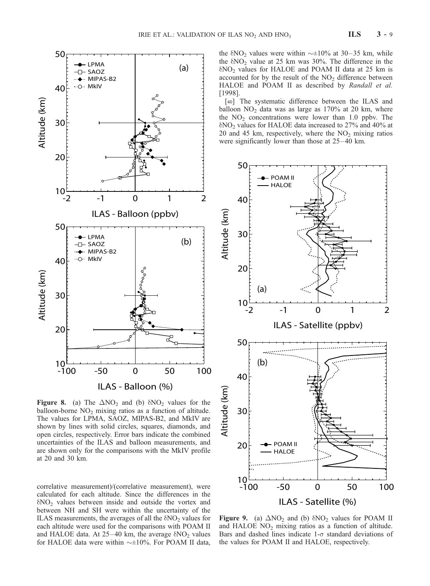

**Figure 8.** (a) The  $\Delta NO_2$  and (b)  $\delta NO_2$  values for the balloon-borne  $NO<sub>2</sub>$  mixing ratios as a function of altitude. The values for LPMA, SAOZ, MIPAS-B2, and MkIV are shown by lines with solid circles, squares, diamonds, and open circles, respectively. Error bars indicate the combined uncertainties of the ILAS and balloon measurements, and are shown only for the comparisons with the MkIV profile at 20 and 30 km.

correlative measurement)/(correlative measurement), were calculated for each altitude. Since the differences in the  $\delta$ NO<sub>2</sub> values between inside and outside the vortex and between NH and SH were within the uncertainty of the ILAS measurements, the averages of all the  $\delta NO_2$  values for each altitude were used for the comparisons with POAM II and HALOE data. At  $25-40$  km, the average  $\delta NO_2$  values for HALOE data were within  $\sim \pm 10\%$ . For POAM II data, the  $\delta NO_2$  values were within  $\sim \pm 10\%$  at 30–35 km, while the  $\delta NO_2$  value at 25 km was 30%. The difference in the  $\delta NO_2$  values for HALOE and POAM II data at 25 km is accounted for by the result of the  $NO<sub>2</sub>$  difference between HALOE and POAM II as described by Randall et al. [1998].

[40] The systematic difference between the ILAS and balloon  $NO<sub>2</sub>$  data was as large as 170% at 20 km, where the  $NO<sub>2</sub>$  concentrations were lower than 1.0 ppbv. The  $\delta NO_2$  values for HALOE data increased to 27% and 40% at 20 and 45 km, respectively, where the  $NO<sub>2</sub>$  mixing ratios were significantly lower than those at  $25-40$  km.



Figure 9. (a)  $\Delta NO_2$  and (b)  $\delta NO_2$  values for POAM II and HALOE  $NO<sub>2</sub>$  mixing ratios as a function of altitude. Bars and dashed lines indicate  $1-\sigma$  standard deviations of the values for POAM II and HALOE, respectively.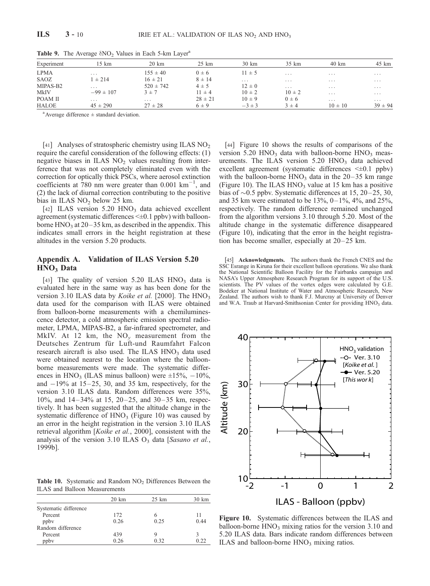| Experiment   | 15 km         | $20 \text{ km}$ | $25 \text{ km}$ | $30 \text{ km}$ | 35 km      | 40 km       | 45 km       |
|--------------|---------------|-----------------|-----------------|-----------------|------------|-------------|-------------|
| <b>LPMA</b>  | $\cdots$      | $155 \pm 40$    | $0 \pm 6$       | $11 \pm 5$      | .          | $\cdots$    | $\cdots$    |
| SAOZ         | $1 \pm 214$   | $16 \pm 21$     | $8 \pm 14$      | $\cdots$        | $\cdots$   | $\cdots$    | $\cdots$    |
| MIPAS-B2     | $\cdots$      | $520 \pm 742$   | $4 \pm 5$       | $12 \pm 0$      | $\cdots$   | $\cdots$    | $\cdots$    |
| <b>MkIV</b>  | $-99 \pm 107$ | $3 \pm 7$       | $11 \pm 4$      | $10 \pm 2$      | $10 \pm 2$ | $\cdots$    | $\cdots$    |
| POAM II      | $\cdots$      | $\cdots$        | $28 \pm 21$     | $10 \pm 9$      | $0 \pm 6$  | $\cdots$    | $\cdots$    |
| <b>HALOE</b> | $45 \pm 290$  | $27 \pm 28$     | $6\pm9$         | $-3 \pm 3$      | $3 \pm 4$  | $10 \pm 10$ | $39 \pm 94$ |

Table 9. The Average  $\delta NO_2$  Values in Each 5-km Layer<sup>a</sup>

 $a^a$  Average difference  $\pm$  standard deviation.

[41] Analyses of stratospheric chemistry using ILAS  $NO<sub>2</sub>$ require the careful consideration of the following effects: (1) negative biases in ILAS  $NO<sub>2</sub>$  values resulting from interference that was not completely eliminated even with the correction for optically thick PSCs, where aerosol extinction coefficients at 780 nm were greater than  $0.001 \text{ km}^{-1}$ , and (2) the lack of diurnal correction contributing to the positive bias in ILAS  $NO<sub>2</sub>$  below 25 km.

[42] ILAS version 5.20 HNO<sub>3</sub> data achieved excellent agreement (systematic differences <±0.1 ppbv) with balloonborne  $HNO<sub>3</sub>$  at 20–35 km, as described in the appendix. This indicates small errors in the height registration at these altitudes in the version 5.20 products.

# Appendix A. Validation of ILAS Version 5.20 HNO<sub>3</sub> Data

[43] The quality of version 5.20 ILAS  $HNO<sub>3</sub>$  data is evaluated here in the same way as has been done for the version 3.10 ILAS data by *Koike et al.* [2000]. The  $HNO<sub>3</sub>$ data used for the comparison with ILAS were obtained from balloon-borne measurements with a chemiluminescence detector, a cold atmospheric emission spectral radiometer, LPMA, MIPAS-B2, a far-infrared spectrometer, and MkIV. At 12 km, the  $NO_y$  measurement from the Deutsches Zentrum für Luft-und Raumfahrt Falcon research aircraft is also used. The ILAS  $HNO<sub>3</sub>$  data used were obtained nearest to the location where the balloonborne measurements were made. The systematic differences in HNO<sub>3</sub> (ILAS minus balloon) were  $\pm 15\%, -10\%,$ and  $-19\%$  at  $15-25$ , 30, and 35 km, respectively, for the version 3.10 ILAS data. Random differences were 35%, 10%, and  $14-34%$  at 15, 20-25, and 30-35 km, respectively. It has been suggested that the altitude change in the systematic difference of  $HNO<sub>3</sub>$  (Figure 10) was caused by an error in the height registration in the version 3.10 ILAS retrieval algorithm [Koike et al., 2000], consistent with the analysis of the version 3.10 ILAS  $O_3$  data [Sasano et al., 1999b].

Table 10. Systematic and Random NO<sub>2</sub> Differences Between the ILAS and Balloon Measurements

|                       | $20 \mathrm{km}$ | $25 \; \mathrm{km}$ | 30 km |
|-----------------------|------------------|---------------------|-------|
| Systematic difference |                  |                     |       |
| Percent               | 172              |                     | 11    |
| ppby                  | 0.26             | 0.25                | 0.44  |
| Random difference     |                  |                     |       |
| Percent               | 439              |                     |       |
| ppby                  | 0.26             | 0.32                |       |

[44] Figure 10 shows the results of comparisons of the version 5.20 HNO<sub>3</sub> data with balloon-borne HNO<sub>3</sub> measurements. The ILAS version  $5.20$  HNO<sub>3</sub> data achieved excellent agreement (systematic differences  $\leq \pm 0.1$  ppbv) with the balloon-borne  $HNO<sub>3</sub>$  data in the 20–35 km range (Figure 10). The ILAS  $HNO<sub>3</sub>$  value at 15 km has a positive bias of  $\sim 0.5$  ppbv. Systematic differences at 15, 20–25, 30, and 35 km were estimated to be  $13\%$ ,  $0-1\%$ ,  $4\%$ , and  $25\%$ , respectively. The random difference remained unchanged from the algorithm versions 3.10 through 5.20. Most of the altitude change in the systematic difference disappeared (Figure 10), indicating that the error in the height registration has become smaller, especially at  $20-25$  km.

[45] **Acknowledgments.** The authors thank the French CNES and the SSC Esrange in Kiruna for their excellent balloon operations. We also thank the National Scientific Balloon Facility for the Fairbanks campaign and NASA's Upper Atmosphere Research Program for its support of the U.S. scientists. The PV values of the vortex edges were calculated by G.E. Bodeker at National Institute of Water and Atmospheric Research, New Zealand. The authors wish to thank F.J. Murcray at University of Denver and W.A. Traub at Harvard-Smithsonian Center for providing HNO<sub>3</sub> data.



Figure 10. Systematic differences between the ILAS and balloon-borne  $HNO<sub>3</sub>$  mixing ratios for the version 3.10 and 5.20 ILAS data. Bars indicate random differences between ILAS and balloon-borne  $HNO<sub>3</sub>$  mixing ratios.